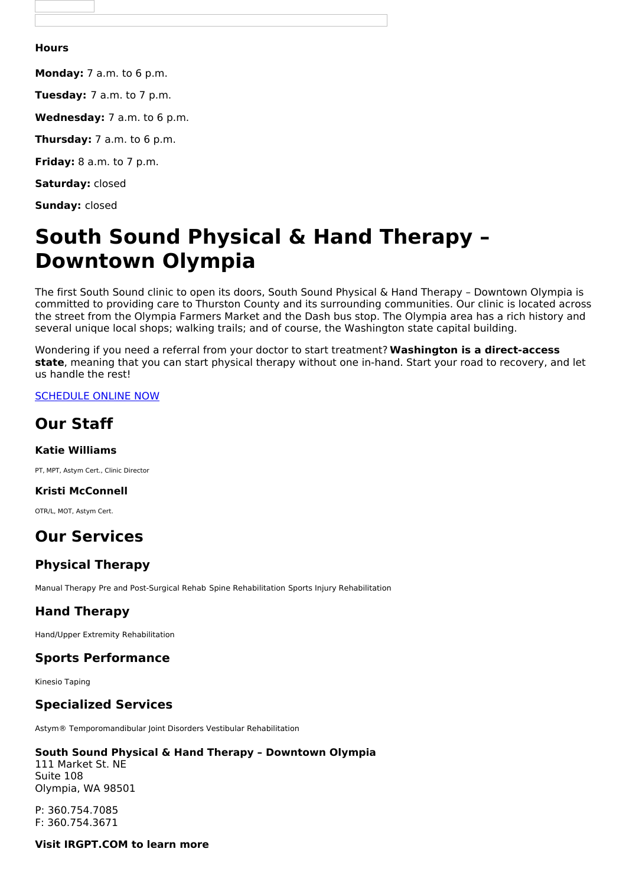#### **Hours**

**Monday:** 7 a.m. to 6 p.m.

**Tuesday:** 7 a.m. to 7 p.m.

**Wednesday:** 7 a.m. to 6 p.m.

**Thursday:** 7 a.m. to 6 p.m.

**Friday:** 8 a.m. to 7 p.m.

**Saturday:** closed

**Sunday:** closed

# **South Sound Physical & Hand Therapy – Downtown Olympia**

The first South Sound clinic to open its doors, South Sound Physical & Hand Therapy – Downtown Olympia is committed to providing care to Thurston County and its surrounding communities. Our clinic is located across the street from the Olympia Farmers Market and the Dash bus stop. The Olympia area has a rich history and several unique local shops; walking trails; and of course, the Washington state capital building.

Wondering if you need a referral from your doctor to start treatment? **Washington is a direct-access state**, meaning that you can start physical therapy without one in-hand. Start your road to recovery, and let us handle the rest!

#### [SCHEDULE](https://listings.betterhealthcare.co/clinic-detail/south-sound-physical--hand-therapy--downtown-olympia/9173?utm_source=client&utm_medium=website&utm_campaign=3672) ONLINE NOW

## **Our Staff**

#### **Katie Williams**

PT, MPT, Astym Cert., Clinic Director

#### **Kristi McConnell**

OTR/L, MOT, Astym Cert.

# **Our Services**

## **Physical Therapy**

Manual Therapy Pre and Post-Surgical Rehab Spine Rehabilitation Sports Injury Rehabilitation

## **Hand Therapy**

Hand/Upper Extremity Rehabilitation

## **Sports Performance**

Kinesio Taping

## **Specialized Services**

Astym® Temporomandibular Joint Disorders Vestibular Rehabilitation

#### **South Sound Physical & Hand Therapy – Downtown Olympia**

111 Market St. NE Suite 108 Olympia, WA 98501

P: 360.754.7085 F: 360.754.3671

**Visit IRGPT.COM to learn more**